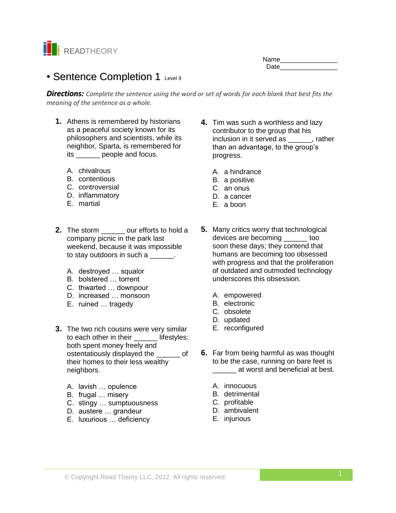

| Name |  |
|------|--|
| Date |  |

# • Sentence Completion 1 Level 9

*Directions: Complete the sentence using the word or set of words for each blank that best fits the meaning of the sentence as a whole.*

- **1.** Athens is remembered by historians as a peaceful society known for its philosophers and scientists, while its neighbor, Sparta, is remembered for its \_\_\_\_\_\_ people and focus.
	- A. chivalrous
	- B. contentious
	- C. controversial
	- D. inflammatory
	- E. martial
- **2.** The storm our efforts to hold a company picnic in the park last weekend, because it was impossible to stay outdoors in such a \_\_\_\_\_\_.
	- A. destroyed … squalor
	- B. bolstered … torrent
	- C. thwarted … downpour
	- D. increased … monsoon
	- E. ruined … tragedy
- **3.** The two rich cousins were very similar to each other in their \_\_\_\_\_\_ lifestyles: both spent money freely and ostentatiously displayed the \_\_\_\_\_\_ of their homes to their less wealthy neighbors.
	- A. lavish … opulence
	- B. frugal … misery
	- C. stingy … sumptuousness
	- D. austere … grandeur
	- E. luxurious … deficiency
- **4.** Tim was such a worthless and lazy contributor to the group that his inclusion in it served as \_\_\_\_\_\_, rather than an advantage, to the group's progress.
	- A. a hindrance
	- B. a positive
	- C. an onus
	- D. a cancer
	- E. a boon
- **5.** Many critics worry that technological devices are becoming \_\_\_\_\_\_ too soon these days; they contend that humans are becoming too obsessed with progress and that the proliferation of outdated and outmoded technology underscores this obsession.
	- A. empowered
	- B. electronic
	- C. obsolete
	- D. updated
	- E. reconfigured
- **6.** Far from being harmful as was thought to be the case, running on bare feet is \_\_\_\_\_\_ at worst and beneficial at best.
	- A. innocuous
	- B. detrimental
	- C. profitable
	- D. ambivalent
	- E. injurious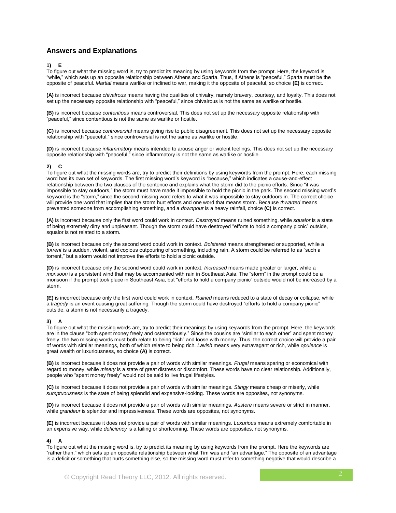# **Answers and Explanations**

### **1) E**

To figure out what the missing word is, try to predict its meaning by using keywords from the prompt. Here, the keyword is "while," which sets up an opposite relationship between Athens and Sparta. Thus, if Athens is "peaceful," Sparta must be the opposite of peaceful. *Martial* means warlike or inclined to war, making it the opposite of peaceful, so choice **(E)** is correct.

**(A)** is incorrect because *chivalrous* means having the qualities of chivalry, namely bravery, courtesy, and loyalty. This does not set up the necessary opposite relationship with "peaceful," since chivalrous is not the same as warlike or hostile.

**(B)** is incorrect because *contentious* means controversial. This does not set up the necessary opposite relationship with "peaceful," since contentious is not the same as warlike or hostile.

**(C)** is incorrect because *controversial* means giving rise to public disagreement. This does not set up the necessary opposite relationship with "peaceful," since controversial is not the same as warlike or hostile.

**(D)** is incorrect because *inflammatory* means intended to arouse anger or violent feelings. This does not set up the necessary opposite relationship with "peaceful," since inflammatory is not the same as warlike or hostile.

## **2) C**

To figure out what the missing words are, try to predict their definitions by using keywords from the prompt. Here, each missing word has its own set of keywords. The first missing word's keyword is "because," which indicates a cause-and-effect relationship between the two clauses of the sentence and explains what the storm did to the picnic efforts. Since "it was impossible to stay outdoors," the storm must have made it impossible to hold the picnic in the park. The second missing word's keyword is the "storm," since the second missing word refers to what it was impossible to stay outdoors in. The correct choice will provide one word that implies that the storm hurt efforts and one word that means storm. Because *thwarted* means prevented someone from accomplishing something, and a *downpour* is a heavy rainfall, choice **(C)** is correct.

**(A)** is incorrect because only the first word could work in context. *Destroyed* means ruined something, while *squalor* is a state of being extremely dirty and unpleasant. Though the storm could have destroyed "efforts to hold a company picnic" outside, squalor is not related to a storm.

**(B)** is incorrect because only the second word could work in context. *Bolstered* means strengthened or supported, while a *torrent* is a sudden, violent, and copious outpouring of something, including rain. A storm could be referred to as "such a torrent," but a storm would not improve the efforts to hold a picnic outside.

**(D)** is incorrect because only the second word could work in context. *Increased* means made greater or larger, while a *monsoon* is a persistent wind that may be accompanied with rain in Southeast Asia. The "storm" in the prompt could be a monsoon if the prompt took place in Southeast Asia, but "efforts to hold a company picnic" outside would not be increased by a storm.

**(E)** is incorrect because only the first word could work in context. *Ruined* means reduced to a state of decay or collapse, while a *tragedy* is an event causing great suffering. Though the storm could have destroyed "efforts to hold a company picnic" outside, a storm is not necessarily a tragedy.

### **3) A**

To figure out what the missing words are, try to predict their meanings by using keywords from the prompt. Here, the keywords are in the clause "both spent money freely and ostentatiously." Since the cousins are "similar to each other" and spent money freely, the two missing words must both relate to being "rich" and loose with money. Thus, the correct choice will provide a pair of words with similar meanings, both of which relate to being rich. *Lavish* means very extravagant or rich, while *opulence* is great wealth or luxuriousness, so choice **(A)** is correct.

**(B)** is incorrect because it does not provide a pair of words with similar meanings. *Frugal* means sparing or economical with regard to money, while *misery* is a state of great distress or discomfort. These words have no clear relationship. Additionally, people who "spent money freely" would not be said to live frugal lifestyles.

**(C)** is incorrect because it does not provide a pair of words with similar meanings. *Stingy* means cheap or miserly, while *sumptuousness* is the state of being splendid and expensive-looking. These words are opposites, not synonyms.

**(D)** is incorrect because it does not provide a pair of words with similar meanings. *Austere* means severe or strict in manner, while *grandeur* is splendor and impressiveness. These words are opposites, not synonyms.

**(E)** is incorrect because it does not provide a pair of words with similar meanings. *Luxurious* means extremely comfortable in an expensive way, while *deficiency* is a failing or shortcoming. These words are opposites, not synonyms.

### **4) A**

To figure out what the missing word is, try to predict its meaning by using keywords from the prompt. Here the keywords are "rather than," which sets up an opposite relationship between what Tim was and "an advantage." The opposite of an advantage is a deficit or something that hurts something else, so the missing word must refer to something negative that would describe a